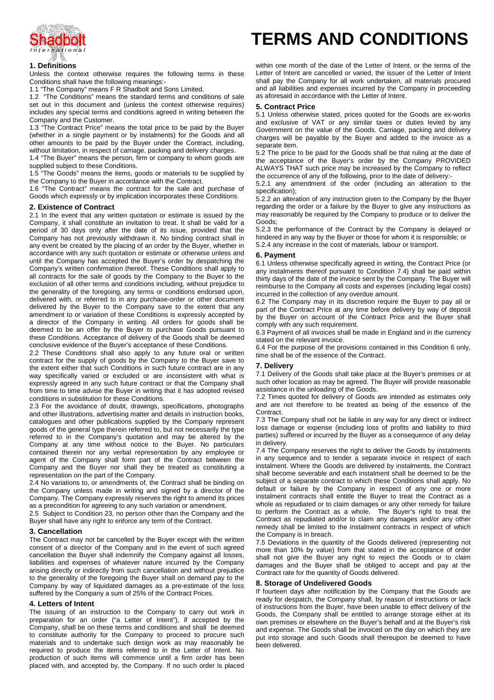

# **1. Definitions**

Unless the context otherwise requires the following terms in these Conditions shall have the following meanings:-

1.1 "The Company" means F R Shadbolt and Sons Limited.

1.2 "The Conditions" means the standard terms and conditions of sale set out in this document and (unless the context otherwise requires) includes any special terms and conditions agreed in writing between the Company and the Customer.

1.3 "The Contract Price" means the total price to be paid by the Buyer (whether in a single payment or by instalments) for the Goods and all other amounts to be paid by the Buyer under the Contract, including, without limitation, in respect of carriage, packing and delivery charges.

1.4 "The Buyer" means the person, firm or company to whom goods are supplied subject to these Conditions.

1.5 "The Goods" means the items, goods or materials to be supplied by the Company to the Buyer in accordance with the Contract.

1.6 "The Contract" means the contract for the sale and purchase of Goods which expressly or by implication incorporates these Conditions.

## **2. Existence of Contract**

2.1 In the event that any written quotation or estimate is issued by the Company, it shall constitute an invitation to treat. It shall be valid for a period of 30 days only after the date of its issue, provided that the Company has not previously withdrawn it. No binding contract shall in any event be created by the placing of an order by the Buyer, whether in accordance with any such quotation or estimate or otherwise unless and until the Company has accepted the Buyer's order by despatching the Company's written confirmation thereof. These Conditions shall apply to all contracts for the sale of goods by the Company to the Buyer to the exclusion of all other terms and conditions including, without prejudice to the generality of the foregoing, any terms or conditions endorsed upon, delivered with, or referred to in any purchase-order or other document delivered by the Buyer to the Company save to the extent that any amendment to or variation of these Conditions is expressly accepted by a director of the Company in writing. All orders for goods shall be deemed to be an offer by the Buyer to purchase Goods pursuant to these Conditions. Acceptance of delivery of the Goods shall be deemed conclusive evidence of the Buyer's acceptance of these Conditions.

2.2 These Conditions shall also apply to any future oral or written contract for the supply of goods by the Company to the Buyer save to the extent either that such Conditions in such future contract are in any way specifically varied or excluded or are inconsistent with what is expressly agreed in any such future contract or that the Company shall from time to time advise the Buyer in writing that it has adopted revised conditions in substitution for these Conditions.

2.3 For the avoidance of doubt, drawings, specifications, photographs and other illustrations, advertising matter and details in instruction books, catalogues and other publications supplied by the Company represent goods of the general type therein referred to, but not necessarily the type referred to in the Company's quotation and may be altered by the Company at any time without notice to the Buyer. No particulars contained therein nor any verbal representation by any employee or agent of the Company shall form part of the Contract between the Company and the Buyer nor shall they be treated as constituting a representation on the part of the Company.

2.4 No variations to, or amendments of, the Contract shall be binding on the Company unless made in writing and signed by a director of the Company. The Company expressly reserves the right to amend its prices as a precondition for agreeing to any such variation or amendment.

2.5 Subject to Condition 23, no person other than the Company and the Buyer shall have any right to enforce any term of the Contract.

## **3. Cancellation**

The Contract may not be cancelled by the Buyer except with the written consent of a director of the Company and in the event of such agreed cancellation the Buyer shall indemnify the Company against all losses, liabilities and expenses of whatever nature incurred by the Company arising directly or indirectly from such cancellation and without prejudice to the generality of the foregoing the Buyer shall on demand pay to the Company by way of liquidated damages as a pre-estimate of the loss suffered by the Company a sum of 25% of the Contract Prices.

#### **4. Letters of Intent**

The issuing of an instruction to the Company to carry out work in preparation for an order ("a Letter of Intent"), if accepted by the Company, shall be on these terms and conditions and shall be deemed to constitute authority for the Company to proceed to procure such materials and to undertake such design work as may reasonably be required to produce the items referred to in the Letter of Intent. No production of such items will commence until a firm order has been placed with, and accepted by, the Company. If no such order is placed

# **TERMS AND CONDITIONS**

within one month of the date of the Letter of Intent, or the terms of the Letter of Intent are cancelled or varied, the issuer of the Letter of Intent shall pay the Company for all work undertaken, all materials procured and all liabilities and expenses incurred by the Company in proceeding as aforesaid in accordance with the Letter of Intent.

#### **5. Contract Price**

5.1 Unless otherwise stated, prices quoted for the Goods are ex-works and exclusive of VAT or any similar taxes or duties levied by any Government on the value of the Goods. Carriage, packing and delivery charges will be payable by the Buyer and added to the invoice as a separate item.

5.2 The price to be paid for the Goods shall be that ruling at the date of the acceptance of the Buyer's order by the Company PROVIDED ALWAYS THAT such price may be increased by the Company to reflect the occurrence of any of the following, prior to the date of delivery:-

5.2.1 any amendment of the order (including an alteration to the specification);

5.2.2 an alteration of any instruction given to the Company by the Buyer regarding the order or a failure by the Buyer to give any instructions as may reasonably be required by the Company to produce or to deliver the Goods;

5.2.3 the performance of the Contract by the Company is delayed or hindered in any way by the Buyer or those for whom it is responsible; or 5.2.4 any increase in the cost of materials, labour or transport.

#### **6. Payment**

6.1 Unless otherwise specifically agreed in writing, the Contract Price (or any instalments thereof pursuant to Condition 7.4) shall be paid within thirty days of the date of the invoice sent by the Company. The Buyer will reimburse to the Company all costs and expenses (including legal costs) incurred in the collection of any overdue amount.

6.2 The Company may in its discretion require the Buyer to pay all or part of the Contract Price at any time before delivery by way of deposit by the Buyer on account of the Contract Price and the Buyer shall comply with any such requirement.

6.3 Payment of all invoices shall be made in England and in the currency stated on the relevant invoice.

6.4 For the purpose of the provisions contained in this Condition 6 only, time shall be of the essence of the Contract.

#### **7. Delivery**

7.1 Delivery of the Goods shall take place at the Buyer's premises or at such other location as may be agreed. The Buyer will provide reasonable assistance in the unloading of the Goods.

7.2 Times quoted for delivery of Goods are intended as estimates only and are not therefore to be treated as being of the essence of the Contract.

7.3 The Company shall not be liable in any way for any direct or indirect loss damage or expense (including loss of profits and liability to third parties) suffered or incurred by the Buyer as a consequence of any delay in delivery.

7.4 The Company reserves the right to deliver the Goods by instalments in any sequence and to tender a separate invoice in respect of each instalment. Where the Goods are delivered by instalments, the Contract shall become severable and each instalment shall be deemed to be the subject of a separate contract to which these Conditions shall apply. No default or failure by the Company in respect of any one or more instalment contracts shall entitle the Buyer to treat the Contract as a whole as repudiated or to claim damages or any other remedy for failure to perform the Contract as a whole. The Buyer's right to treat the Contract as repudiated and/or to claim any damages and/or any other remedy shall be limited to the instalment contracts in respect of which the Company is in breach.

7.5 Deviations in the quantity of the Goods delivered (representing not more than 10% by value) from that stated in the acceptance of order shall not give the Buyer any right to reject the Goods or to claim damages and the Buyer shall be obliged to accept and pay at the Contract rate for the quantity of Goods delivered.

# **8. Storage of Undelivered Goods**

If fourteen days after notification by the Company that the Goods are ready for despatch, the Company shall, by reason of instructions or lack of instructions from the Buyer, have been unable to effect delivery of the Goods, the Company shall be entitled to arrange storage either at its own premises or elsewhere on the Buyer's behalf and at the Buyer's risk and expense. The Goods shall be invoiced on the day on which they are put into storage and such Goods shall thereupon be deemed to have been delivered.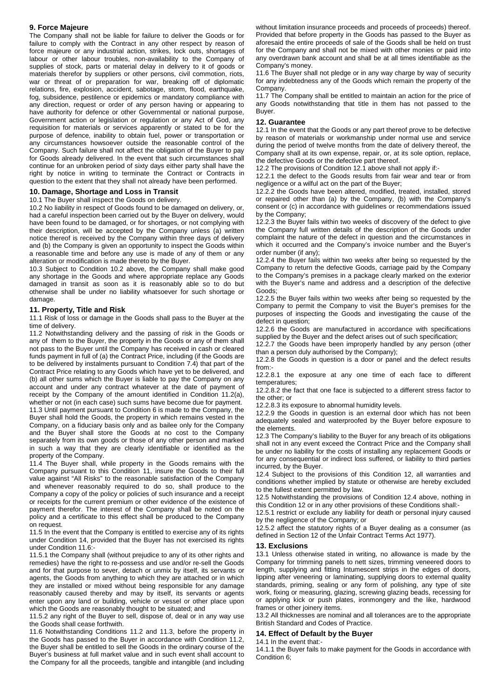# **9. Force Majeure**

The Company shall not be liable for failure to deliver the Goods or for failure to comply with the Contract in any other respect by reason of force majeure or any industrial action, strikes, lock outs, shortages of labour or other labour troubles, non-availability to the Company of supplies of stock, parts or material delay in delivery to it of goods or materials therefor by suppliers or other persons, civil commotion, riots, war or threat of or preparation for war, breaking off of diplomatic relations, fire, explosion, accident, sabotage, storm, flood, earthquake, fog, subsidence, pestilence or epidemics or mandatory compliance with any direction, request or order of any person having or appearing to have authority for defence or other Governmental or national purpose, Government action or legislation or regulation or any Act of God, any requisition for materials or services apparently or stated to be for the purpose of defence, inability to obtain fuel, power or transportation or any circumstances howsoever outside the reasonable control of the Company. Such failure shall not affect the obligation of the Buyer to pay for Goods already delivered. In the event that such circumstances shall continue for an unbroken period of sixty days either party shall have the right by notice in writing to terminate the Contract or Contracts in question to the extent that they shall not already have been performed.

# **10. Damage, Shortage and Loss in Transit**

10.1 The Buyer shall inspect the Goods on delivery.

10.2 No liability in respect of Goods found to be damaged on delivery, or, had a careful inspection been carried out by the Buyer on delivery, would have been found to be damaged, or for shortages, or not complying with their description, will be accepted by the Company unless (a) written notice thereof is received by the Company within three days of delivery and (b) the Company is given an opportunity to inspect the Goods within a reasonable time and before any use is made of any of them or any alteration or modification is made thereto by the Buyer.

10.3 Subject to Condition 10.2 above, the Company shall make good any shortage in the Goods and where appropriate replace any Goods damaged in transit as soon as it is reasonably able so to do but otherwise shall be under no liability whatsoever for such shortage or damage.

## **11. Property, Title and Risk**

11.1 Risk of loss or damage in the Goods shall pass to the Buyer at the time of delivery.

11.2 Notwithstanding delivery and the passing of risk in the Goods or any of them to the Buyer, the property in the Goods or any of them shall not pass to the Buyer until the Company has received in cash or cleared funds payment in full of (a) the Contract Price, including (if the Goods are to be delivered by instalments pursuant to Condition 7.4) that part of the Contract Price relating to any Goods which have yet to be delivered, and (b) all other sums which the Buyer is liable to pay the Company on any account and under any contract whatever at the date of payment of receipt by the Company of the amount identified in Condition 11.2(a), whether or not (in each case) such sums have become due for payment.

11.3 Until payment pursuant to Condition 6 is made to the Company, the Buyer shall hold the Goods, the property in which remains vested in the Company, on a fiduciary basis only and as bailee only for the Company and the Buyer shall store the Goods at no cost to the Company separately from its own goods or those of any other person and marked in such a way that they are clearly identifiable or identified as the property of the Company.

11.4 The Buyer shall, while property in the Goods remains with the Company pursuant to this Condition 11, insure the Goods to their full value against "All Risks" to the reasonable satisfaction of the Company and whenever reasonably required to do so, shall produce to the Company a copy of the policy or policies of such insurance and a receipt or receipts for the current premium or other evidence of the existence of payment therefor. The interest of the Company shall be noted on the policy and a certificate to this effect shall be produced to the Company on request.

11.5 In the event that the Company is entitled to exercise any of its rights under Condition 14, provided that the Buyer has not exercised its rights under Condition 11.6:-

11.5.1 the Company shall (without prejudice to any of its other rights and remedies) have the right to re-possess and use and/or re-sell the Goods and for that purpose to sever, detach or unmix by itself, its servants or agents, the Goods from anything to which they are attached or in which they are installed or mixed without being responsible for any damage reasonably caused thereby and may by itself, its servants or agents enter upon any land or building, vehicle or vessel or other place upon which the Goods are reasonably thought to be situated; and

11.5.2 any right of the Buyer to sell, dispose of, deal or in any way use the Goods shall cease forthwith.

11.6 Notwithstanding Conditions 11.2 and 11.3, before the property in the Goods has passed to the Buyer in accordance with Condition 11.2, the Buyer shall be entitled to sell the Goods in the ordinary course of the Buyer's business at full market value and in such event shall account to the Company for all the proceeds, tangible and intangible (and including

without limitation insurance proceeds and proceeds of proceeds) thereof. Provided that before property in the Goods has passed to the Buyer as aforesaid the entire proceeds of sale of the Goods shall be held on trust for the Company and shall not be mixed with other monies or paid into any overdrawn bank account and shall be at all times identifiable as the Company's money.

11.6 The Buyer shall not pledge or in any way charge by way of security for any indebtedness any of the Goods which remain the property of the Company.

11.7 The Company shall be entitled to maintain an action for the price of any Goods notwithstanding that title in them has not passed to the Buyer.

# **12. Guarantee**

12.1 In the event that the Goods or any part thereof prove to be defective by reason of materials or workmanship under normal use and service during the period of twelve months from the date of delivery thereof, the Company shall at its own expense, repair, or, at its sole option, replace, the defective Goods or the defective part thereof.

12.2 The provisions of Condition 12.1 above shall not apply if:-

12.2.1 the defect to the Goods results from fair wear and tear or from negligence or a wilful act on the part of the Buyer;

12.2.2 the Goods have been altered, modified, treated, installed, stored or repaired other than (a) by the Company, (b) with the Company's consent or (c) in accordance with guidelines or recommendations issued by the Company;

12.2.3 the Buyer fails within two weeks of discovery of the defect to give the Company full written details of the description of the Goods under complaint the nature of the defect in question and the circumstances in which it occurred and the Company's invoice number and the Buyer's order number (if any);

12.2.4 the Buyer fails within two weeks after being so requested by the Company to return the defective Goods, carriage paid by the Company to the Company's premises in a package clearly marked on the exterior with the Buyer's name and address and a description of the defective Goods;

12.2.5 the Buyer fails within two weeks after being so requested by the Company to permit the Company to visit the Buyer's premises for the purposes of inspecting the Goods and investigating the cause of the defect in question;

12.2.6 the Goods are manufactured in accordance with specifications supplied by the Buyer and the defect arises out of such specification;

12.2.7 the Goods have been improperly handled by any person (other than a person duly authorised by the Company);

12.2.8 the Goods in question is a door or panel and the defect results from:-

12.2.8.1 the exposure at any one time of each face to different temperatures;

12.2.8.2 the fact that one face is subjected to a different stress factor to the other; or

12.2.8.3 its exposure to abnormal humidity levels.

12.2.9 the Goods in question is an external door which has not been adequately sealed and waterproofed by the Buyer before exposure to the elements.

12.3 The Company's liability to the Buyer for any breach of its obligations shall not in any event exceed the Contract Price and the Company shall be under no liability for the costs of installing any replacement Goods or for any consequential or indirect loss suffered, or liability to third parties incurred, by the Buyer.

12.4 Subject to the provisions of this Condition 12, all warranties and conditions whether implied by statute or otherwise are hereby excluded to the fullest extent permitted by law.

12.5 Notwithstanding the provisions of Condition 12.4 above, nothing in this Condition 12 or in any other provisions of these Conditions shall:-

12.5.1 restrict or exclude any liability for death or personal injury caused by the negligence of the Company; or

12.5.2 affect the statutory rights of a Buyer dealing as a consumer (as defined in Section 12 of the Unfair Contract Terms Act 1977).

# **13. Exclusions**

13.1 Unless otherwise stated in writing, no allowance is made by the Company for trimming panels to nett sizes, trimming veneered doors to length, supplying and fitting Intumescent strips in the edges of doors, lipping after veneering or laminating, supplying doors to external quality standards, priming, sealing or any form of polishing, any type of site work, fixing or measuring, glazing, screwing glazing beads, recessing for or applying kick or push plates, ironmongery and the like, hardwood frames or other joinery items.

13.2 All thicknesses are nominal and all tolerances are to the appropriate British Standard and Codes of Practice.

# **14. Effect of Default by the Buyer**

14.1 In the event that:-

14.1.1 the Buyer fails to make payment for the Goods in accordance with Condition 6;